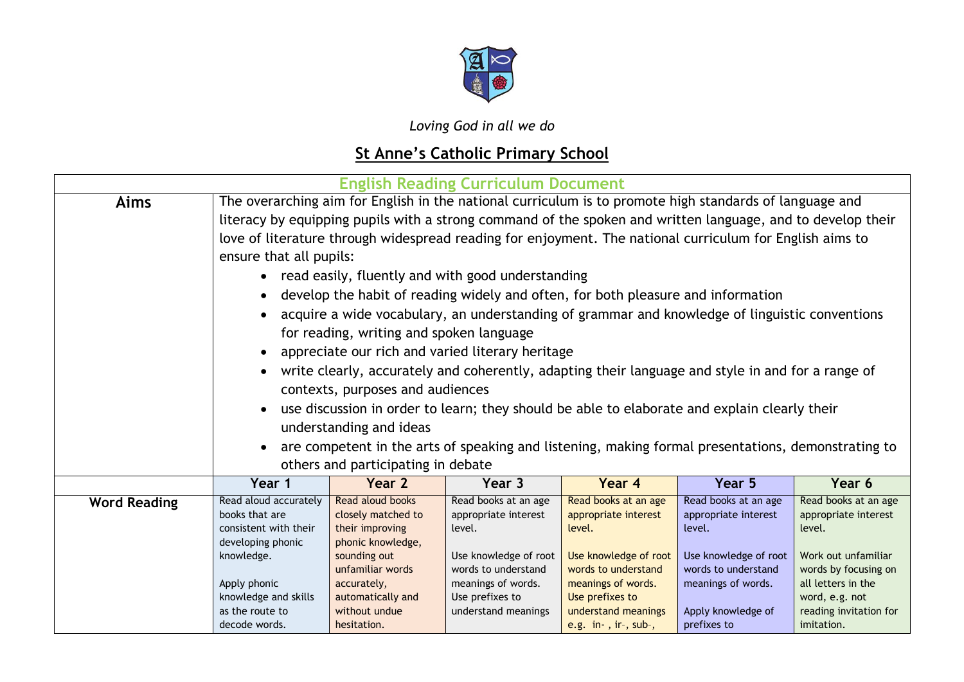

*Loving God in all we do*

## **St Anne's Catholic Primary School**

| <b>English Reading Curriculum Document</b> |                                                                                                                                                                                                                                                                                                                                                                                                                                                                                                                                                                                                                                                                                                                                                                                                                                                                                                                                                                                                                                                                                    |                                                                                                                                                                                        |                                                                                                                                                                        |                                                                                                                                                                                                |                                                                                                                                                                   |                                                                                                                                                                                       |  |
|--------------------------------------------|------------------------------------------------------------------------------------------------------------------------------------------------------------------------------------------------------------------------------------------------------------------------------------------------------------------------------------------------------------------------------------------------------------------------------------------------------------------------------------------------------------------------------------------------------------------------------------------------------------------------------------------------------------------------------------------------------------------------------------------------------------------------------------------------------------------------------------------------------------------------------------------------------------------------------------------------------------------------------------------------------------------------------------------------------------------------------------|----------------------------------------------------------------------------------------------------------------------------------------------------------------------------------------|------------------------------------------------------------------------------------------------------------------------------------------------------------------------|------------------------------------------------------------------------------------------------------------------------------------------------------------------------------------------------|-------------------------------------------------------------------------------------------------------------------------------------------------------------------|---------------------------------------------------------------------------------------------------------------------------------------------------------------------------------------|--|
| Aims                                       | The overarching aim for English in the national curriculum is to promote high standards of language and<br>literacy by equipping pupils with a strong command of the spoken and written language, and to develop their<br>love of literature through widespread reading for enjoyment. The national curriculum for English aims to<br>ensure that all pupils:<br>read easily, fluently and with good understanding<br>develop the habit of reading widely and often, for both pleasure and information<br>acquire a wide vocabulary, an understanding of grammar and knowledge of linguistic conventions<br>for reading, writing and spoken language<br>appreciate our rich and varied literary heritage<br>write clearly, accurately and coherently, adapting their language and style in and for a range of<br>contexts, purposes and audiences<br>use discussion in order to learn; they should be able to elaborate and explain clearly their<br>understanding and ideas<br>are competent in the arts of speaking and listening, making formal presentations, demonstrating to |                                                                                                                                                                                        |                                                                                                                                                                        |                                                                                                                                                                                                |                                                                                                                                                                   |                                                                                                                                                                                       |  |
|                                            | Year 1                                                                                                                                                                                                                                                                                                                                                                                                                                                                                                                                                                                                                                                                                                                                                                                                                                                                                                                                                                                                                                                                             | others and participating in debate<br>Year 2                                                                                                                                           | Year 3                                                                                                                                                                 | Year 4                                                                                                                                                                                         | Year 5                                                                                                                                                            | Year 6                                                                                                                                                                                |  |
| <b>Word Reading</b>                        | Read aloud accurately<br>books that are<br>consistent with their<br>developing phonic<br>knowledge.<br>Apply phonic<br>knowledge and skills<br>as the route to<br>decode words.                                                                                                                                                                                                                                                                                                                                                                                                                                                                                                                                                                                                                                                                                                                                                                                                                                                                                                    | Read aloud books<br>closely matched to<br>their improving<br>phonic knowledge,<br>sounding out<br>unfamiliar words<br>accurately,<br>automatically and<br>without undue<br>hesitation. | Read books at an age<br>appropriate interest<br>level.<br>Use knowledge of root<br>words to understand<br>meanings of words.<br>Use prefixes to<br>understand meanings | Read books at an age<br>appropriate interest<br>level.<br>Use knowledge of root<br>words to understand<br>meanings of words.<br>Use prefixes to<br>understand meanings<br>e.g. in-, ir-, sub-, | Read books at an age<br>appropriate interest<br>level.<br>Use knowledge of root<br>words to understand<br>meanings of words.<br>Apply knowledge of<br>prefixes to | Read books at an age<br>appropriate interest<br>level.<br>Work out unfamiliar<br>words by focusing on<br>all letters in the<br>word, e.g. not<br>reading invitation for<br>imitation. |  |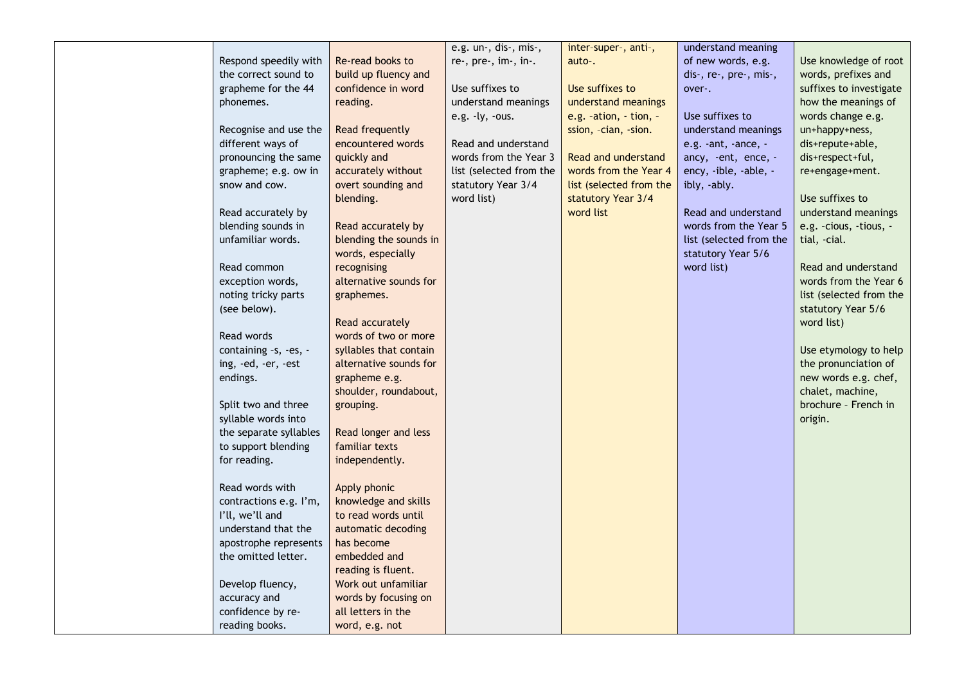|                                         |                        | e.g. un-, dis-, mis-,   | inter-super-, anti-,       | understand meaning      |                         |
|-----------------------------------------|------------------------|-------------------------|----------------------------|-------------------------|-------------------------|
| Respond speedily with                   | Re-read books to       | re-, pre-, im-, in-.    | auto-.                     | of new words, e.g.      | Use knowledge of root   |
| the correct sound to                    | build up fluency and   |                         |                            | dis-, re-, pre-, mis-,  | words, prefixes and     |
| grapheme for the 44                     | confidence in word     | Use suffixes to         | Use suffixes to            | over-.                  | suffixes to investigate |
| phonemes.                               | reading.               | understand meanings     | understand meanings        |                         | how the meanings of     |
|                                         |                        | e.g. $-ly$ , $-ous$ .   | e.g. $-ation, -tion, -$    | Use suffixes to         | words change e.g.       |
| Recognise and use the                   | Read frequently        |                         | ssion, -cian, -sion.       | understand meanings     | un+happy+ness,          |
| different ways of                       | encountered words      | Read and understand     |                            | e.g. -ant, -ance, -     | dis+repute+able,        |
| pronouncing the same                    | quickly and            | words from the Year 3   | <b>Read and understand</b> | ancy, -ent, ence, -     | dis+respect+ful,        |
| grapheme; e.g. ow in                    | accurately without     | list (selected from the | words from the Year 4      | ency, -ible, -able, -   | re+engage+ment.         |
| snow and cow.                           | overt sounding and     | statutory Year 3/4      | list (selected from the    | ibly, -ably.            |                         |
|                                         | blending.              | word list)              | statutory Year 3/4         |                         | Use suffixes to         |
| Read accurately by                      |                        |                         | word list                  | Read and understand     | understand meanings     |
| blending sounds in                      | Read accurately by     |                         |                            | words from the Year 5   | e.g. -cious, -tious, -  |
| unfamiliar words.                       | blending the sounds in |                         |                            | list (selected from the | tial, -cial.            |
|                                         | words, especially      |                         |                            | statutory Year 5/6      |                         |
| Read common                             | recognising            |                         |                            | word list)              | Read and understand     |
|                                         | alternative sounds for |                         |                            |                         | words from the Year 6   |
| exception words,<br>noting tricky parts | graphemes.             |                         |                            |                         | list (selected from the |
|                                         |                        |                         |                            |                         |                         |
| (see below).                            |                        |                         |                            |                         | statutory Year 5/6      |
|                                         | Read accurately        |                         |                            |                         | word list)              |
| Read words                              | words of two or more   |                         |                            |                         |                         |
| containing -s, -es, -                   | syllables that contain |                         |                            |                         | Use etymology to help   |
| ing, -ed, -er, -est                     | alternative sounds for |                         |                            |                         | the pronunciation of    |
| endings.                                | grapheme e.g.          |                         |                            |                         | new words e.g. chef,    |
|                                         | shoulder, roundabout,  |                         |                            |                         | chalet, machine,        |
| Split two and three                     | grouping.              |                         |                            |                         | brochure - French in    |
| syllable words into                     |                        |                         |                            |                         | origin.                 |
| the separate syllables                  | Read longer and less   |                         |                            |                         |                         |
| to support blending                     | familiar texts         |                         |                            |                         |                         |
| for reading.                            | independently.         |                         |                            |                         |                         |
|                                         |                        |                         |                            |                         |                         |
| Read words with                         | Apply phonic           |                         |                            |                         |                         |
| contractions e.g. I'm,                  | knowledge and skills   |                         |                            |                         |                         |
| I'll, we'll and                         | to read words until    |                         |                            |                         |                         |
| understand that the                     | automatic decoding     |                         |                            |                         |                         |
| apostrophe represents                   | has become             |                         |                            |                         |                         |
| the omitted letter.                     | embedded and           |                         |                            |                         |                         |
|                                         | reading is fluent.     |                         |                            |                         |                         |
| Develop fluency,                        | Work out unfamiliar    |                         |                            |                         |                         |
| accuracy and                            | words by focusing on   |                         |                            |                         |                         |
| confidence by re-                       | all letters in the     |                         |                            |                         |                         |
| reading books.                          | word, e.g. not         |                         |                            |                         |                         |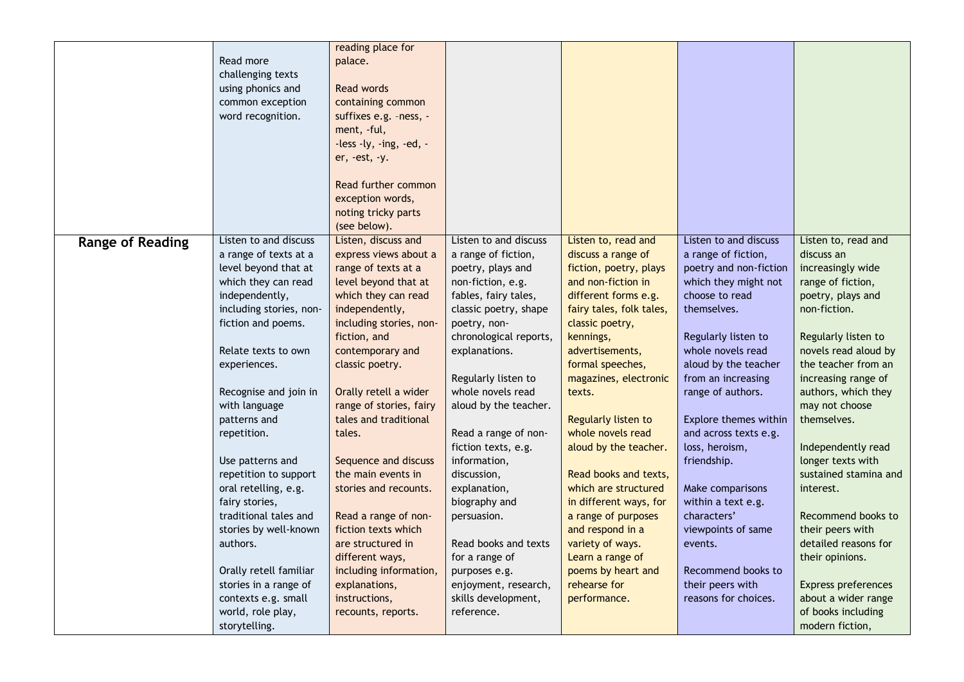|                         |                         | reading place for       |                        |                          |                        |                            |
|-------------------------|-------------------------|-------------------------|------------------------|--------------------------|------------------------|----------------------------|
|                         | Read more               | palace.                 |                        |                          |                        |                            |
|                         | challenging texts       |                         |                        |                          |                        |                            |
|                         | using phonics and       | Read words              |                        |                          |                        |                            |
|                         | common exception        | containing common       |                        |                          |                        |                            |
|                         | word recognition.       | suffixes e.g. -ness, -  |                        |                          |                        |                            |
|                         |                         | ment, -ful,             |                        |                          |                        |                            |
|                         |                         |                         |                        |                          |                        |                            |
|                         |                         | -less -ly, -ing, -ed, - |                        |                          |                        |                            |
|                         |                         | er, -est, -y.           |                        |                          |                        |                            |
|                         |                         | Read further common     |                        |                          |                        |                            |
|                         |                         |                         |                        |                          |                        |                            |
|                         |                         | exception words,        |                        |                          |                        |                            |
|                         |                         | noting tricky parts     |                        |                          |                        |                            |
|                         |                         | (see below).            |                        |                          |                        |                            |
| <b>Range of Reading</b> | Listen to and discuss   | Listen, discuss and     | Listen to and discuss  | Listen to, read and      | Listen to and discuss  | Listen to, read and        |
|                         | a range of texts at a   | express views about a   | a range of fiction,    | discuss a range of       | a range of fiction,    | discuss an                 |
|                         | level beyond that at    | range of texts at a     | poetry, plays and      | fiction, poetry, plays   | poetry and non-fiction | increasingly wide          |
|                         | which they can read     | level beyond that at    | non-fiction, e.g.      | and non-fiction in       | which they might not   | range of fiction,          |
|                         | independently,          | which they can read     | fables, fairy tales,   | different forms e.g.     | choose to read         | poetry, plays and          |
|                         | including stories, non- | independently,          | classic poetry, shape  | fairy tales, folk tales, | themselves.            | non-fiction.               |
|                         | fiction and poems.      | including stories, non- | poetry, non-           | classic poetry,          |                        |                            |
|                         |                         | fiction, and            | chronological reports, | kennings,                | Regularly listen to    | Regularly listen to        |
|                         | Relate texts to own     | contemporary and        | explanations.          | advertisements,          | whole novels read      | novels read aloud by       |
|                         | experiences.            | classic poetry.         |                        | formal speeches,         | aloud by the teacher   | the teacher from an        |
|                         |                         |                         | Regularly listen to    | magazines, electronic    | from an increasing     | increasing range of        |
|                         | Recognise and join in   | Orally retell a wider   | whole novels read      | texts.                   | range of authors.      | authors, which they        |
|                         | with language           | range of stories, fairy | aloud by the teacher.  |                          |                        | may not choose             |
|                         | patterns and            | tales and traditional   |                        | Regularly listen to      | Explore themes within  | themselves.                |
|                         | repetition.             | tales.                  | Read a range of non-   | whole novels read        | and across texts e.g.  |                            |
|                         |                         |                         | fiction texts, e.g.    | aloud by the teacher.    | loss, heroism,         | Independently read         |
|                         | Use patterns and        | Sequence and discuss    | information,           |                          | friendship.            | longer texts with          |
|                         | repetition to support   | the main events in      | discussion,            | Read books and texts,    |                        | sustained stamina and      |
|                         | oral retelling, e.g.    | stories and recounts.   | explanation,           | which are structured     | Make comparisons       | interest.                  |
|                         | fairy stories,          |                         | biography and          | in different ways, for   | within a text e.g.     |                            |
|                         | traditional tales and   | Read a range of non-    | persuasion.            | a range of purposes      | characters'            | Recommend books to         |
|                         | stories by well-known   | fiction texts which     |                        | and respond in a         | viewpoints of same     | their peers with           |
|                         | authors.                | are structured in       | Read books and texts   | variety of ways.         | events.                | detailed reasons for       |
|                         |                         | different ways,         | for a range of         | Learn a range of         |                        | their opinions.            |
|                         | Orally retell familiar  | including information,  | purposes e.g.          | poems by heart and       | Recommend books to     |                            |
|                         | stories in a range of   | explanations,           | enjoyment, research,   | rehearse for             | their peers with       | <b>Express preferences</b> |
|                         | contexts e.g. small     | instructions,           | skills development,    | performance.             | reasons for choices.   | about a wider range        |
|                         | world, role play,       | recounts, reports.      | reference.             |                          |                        | of books including         |
|                         |                         |                         |                        |                          |                        |                            |
|                         | storytelling.           |                         |                        |                          |                        | modern fiction,            |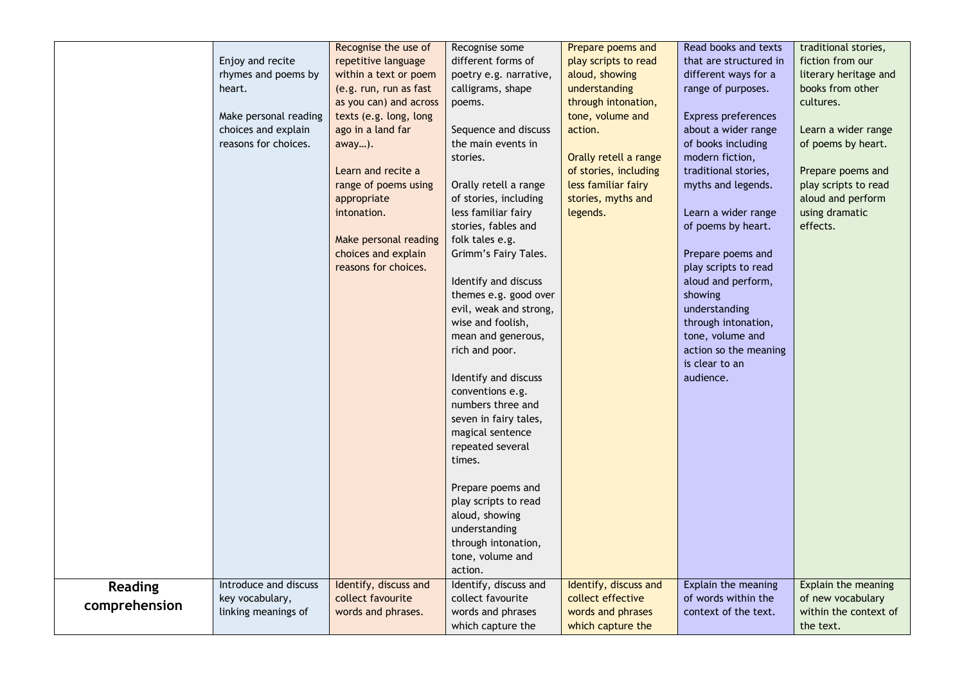|                |                       | Recognise the use of   | Recognise some         | Prepare poems and     | Read books and texts       | traditional stories,  |
|----------------|-----------------------|------------------------|------------------------|-----------------------|----------------------------|-----------------------|
|                | Enjoy and recite      | repetitive language    | different forms of     | play scripts to read  | that are structured in     | fiction from our      |
|                | rhymes and poems by   | within a text or poem  | poetry e.g. narrative, | aloud, showing        | different ways for a       | literary heritage and |
|                | heart.                | (e.g. run, run as fast | calligrams, shape      | understanding         | range of purposes.         | books from other      |
|                |                       | as you can) and across | poems.                 | through intonation,   |                            | cultures.             |
|                | Make personal reading | texts (e.g. long, long |                        | tone, volume and      | <b>Express preferences</b> |                       |
|                | choices and explain   | ago in a land far      | Sequence and discuss   | action.               | about a wider range        | Learn a wider range   |
|                | reasons for choices.  | away).                 | the main events in     |                       | of books including         | of poems by heart.    |
|                |                       |                        | stories.               | Orally retell a range | modern fiction,            |                       |
|                |                       | Learn and recite a     |                        | of stories, including | traditional stories,       | Prepare poems and     |
|                |                       | range of poems using   | Orally retell a range  | less familiar fairy   | myths and legends.         | play scripts to read  |
|                |                       | appropriate            | of stories, including  | stories, myths and    |                            | aloud and perform     |
|                |                       | intonation.            | less familiar fairy    | legends.              | Learn a wider range        | using dramatic        |
|                |                       |                        | stories, fables and    |                       | of poems by heart.         | effects.              |
|                |                       | Make personal reading  | folk tales e.g.        |                       |                            |                       |
|                |                       | choices and explain    | Grimm's Fairy Tales.   |                       | Prepare poems and          |                       |
|                |                       | reasons for choices.   |                        |                       | play scripts to read       |                       |
|                |                       |                        | Identify and discuss   |                       | aloud and perform,         |                       |
|                |                       |                        | themes e.g. good over  |                       | showing                    |                       |
|                |                       |                        | evil, weak and strong, |                       | understanding              |                       |
|                |                       |                        | wise and foolish,      |                       | through intonation,        |                       |
|                |                       |                        | mean and generous,     |                       | tone, volume and           |                       |
|                |                       |                        | rich and poor.         |                       | action so the meaning      |                       |
|                |                       |                        |                        |                       | is clear to an             |                       |
|                |                       |                        | Identify and discuss   |                       | audience.                  |                       |
|                |                       |                        | conventions e.g.       |                       |                            |                       |
|                |                       |                        | numbers three and      |                       |                            |                       |
|                |                       |                        | seven in fairy tales,  |                       |                            |                       |
|                |                       |                        | magical sentence       |                       |                            |                       |
|                |                       |                        | repeated several       |                       |                            |                       |
|                |                       |                        | times.                 |                       |                            |                       |
|                |                       |                        |                        |                       |                            |                       |
|                |                       |                        | Prepare poems and      |                       |                            |                       |
|                |                       |                        | play scripts to read   |                       |                            |                       |
|                |                       |                        | aloud, showing         |                       |                            |                       |
|                |                       |                        | understanding          |                       |                            |                       |
|                |                       |                        | through intonation,    |                       |                            |                       |
|                |                       |                        | tone, volume and       |                       |                            |                       |
|                |                       |                        | action.                |                       |                            |                       |
| <b>Reading</b> | Introduce and discuss | Identify, discuss and  | Identify, discuss and  | Identify, discuss and | Explain the meaning        | Explain the meaning   |
| comprehension  | key vocabulary,       | collect favourite      | collect favourite      | collect effective     | of words within the        | of new vocabulary     |
|                | linking meanings of   | words and phrases.     | words and phrases      | words and phrases     | context of the text.       | within the context of |
|                |                       |                        | which capture the      | which capture the     |                            | the text.             |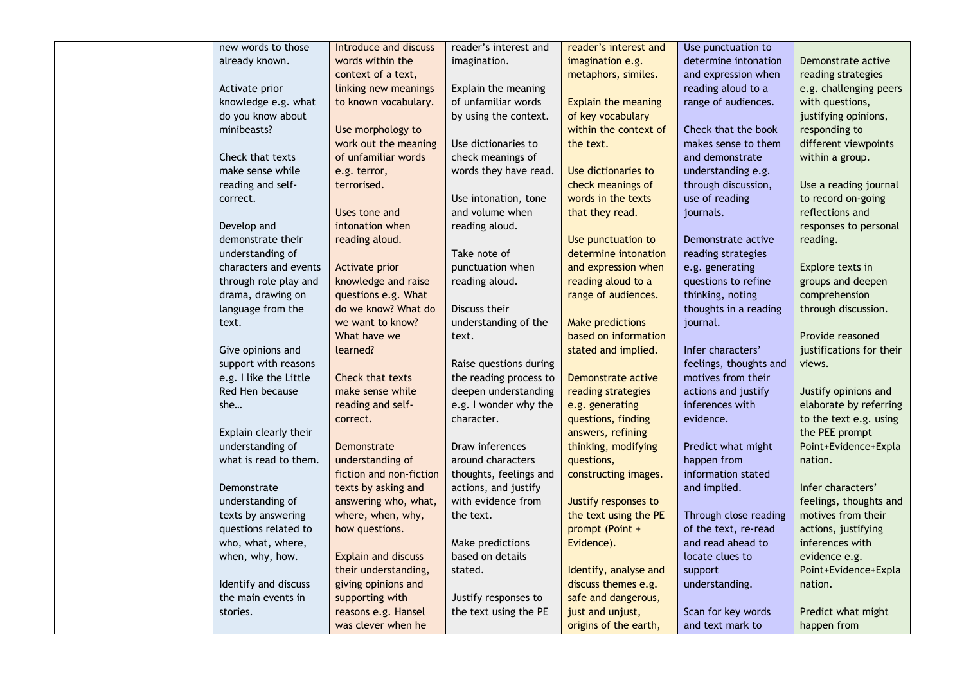| new words to those     | Introduce and discuss   | reader's interest and  | reader's interest and      | Use punctuation to     |                          |
|------------------------|-------------------------|------------------------|----------------------------|------------------------|--------------------------|
| already known.         | words within the        | imagination.           | imagination e.g.           | determine intonation   | Demonstrate active       |
|                        | context of a text,      |                        | metaphors, similes.        | and expression when    | reading strategies       |
| Activate prior         | linking new meanings    | Explain the meaning    |                            | reading aloud to a     | e.g. challenging peers   |
| knowledge e.g. what    | to known vocabulary.    | of unfamiliar words    | <b>Explain the meaning</b> | range of audiences.    | with questions,          |
| do you know about      |                         | by using the context.  | of key vocabulary          |                        | justifying opinions,     |
| minibeasts?            | Use morphology to       |                        | within the context of      | Check that the book    | responding to            |
|                        | work out the meaning    | Use dictionaries to    | the text.                  | makes sense to them    | different viewpoints     |
| Check that texts       | of unfamiliar words     | check meanings of      |                            | and demonstrate        | within a group.          |
| make sense while       | e.g. terror,            | words they have read.  | Use dictionaries to        | understanding e.g.     |                          |
| reading and self-      | terrorised.             |                        | check meanings of          | through discussion,    | Use a reading journal    |
| correct.               |                         | Use intonation, tone   | words in the texts         | use of reading         | to record on-going       |
|                        | Uses tone and           | and volume when        | that they read.            | journals.              | reflections and          |
| Develop and            | intonation when         | reading aloud.         |                            |                        | responses to personal    |
| demonstrate their      | reading aloud.          |                        | Use punctuation to         | Demonstrate active     | reading.                 |
| understanding of       |                         | Take note of           | determine intonation       | reading strategies     |                          |
| characters and events  | Activate prior          | punctuation when       | and expression when        | e.g. generating        | Explore texts in         |
| through role play and  | knowledge and raise     | reading aloud.         | reading aloud to a         | questions to refine    | groups and deepen        |
| drama, drawing on      | questions e.g. What     |                        | range of audiences.        | thinking, noting       | comprehension            |
| language from the      | do we know? What do     | Discuss their          |                            | thoughts in a reading  | through discussion.      |
| text.                  | we want to know?        | understanding of the   | <b>Make predictions</b>    | journal.               |                          |
|                        | What have we            | text.                  | based on information       |                        | Provide reasoned         |
| Give opinions and      | learned?                |                        | stated and implied.        | Infer characters'      | justifications for their |
| support with reasons   |                         | Raise questions during |                            | feelings, thoughts and | views.                   |
| e.g. I like the Little | Check that texts        | the reading process to | Demonstrate active         | motives from their     |                          |
| Red Hen because        | make sense while        | deepen understanding   | reading strategies         | actions and justify    | Justify opinions and     |
| she                    | reading and self-       | e.g. I wonder why the  | e.g. generating            | inferences with        | elaborate by referring   |
|                        | correct.                | character.             | questions, finding         | evidence.              | to the text e.g. using   |
| Explain clearly their  |                         |                        | answers, refining          |                        | the PEE prompt -         |
| understanding of       | Demonstrate             | Draw inferences        | thinking, modifying        | Predict what might     | Point+Evidence+Expla     |
| what is read to them.  | understanding of        | around characters      | questions,                 | happen from            | nation.                  |
|                        | fiction and non-fiction | thoughts, feelings and | constructing images.       | information stated     |                          |
| Demonstrate            | texts by asking and     | actions, and justify   |                            | and implied.           | Infer characters'        |
| understanding of       | answering who, what,    | with evidence from     | Justify responses to       |                        | feelings, thoughts and   |
| texts by answering     | where, when, why,       | the text.              | the text using the PE      | Through close reading  | motives from their       |
| questions related to   | how questions.          |                        | prompt (Point +            | of the text, re-read   | actions, justifying      |
| who, what, where,      |                         | Make predictions       | Evidence).                 | and read ahead to      | inferences with          |
| when, why, how.        | Explain and discuss     | based on details       |                            | locate clues to        | evidence e.g.            |
|                        | their understanding,    | stated.                | Identify, analyse and      | support                | Point+Evidence+Expla     |
| Identify and discuss   | giving opinions and     |                        | discuss themes e.g.        | understanding.         | nation.                  |
| the main events in     | supporting with         | Justify responses to   | safe and dangerous,        |                        |                          |
| stories.               | reasons e.g. Hansel     | the text using the PE  | just and unjust,           | Scan for key words     | Predict what might       |
|                        | was clever when he      |                        | origins of the earth,      | and text mark to       | happen from              |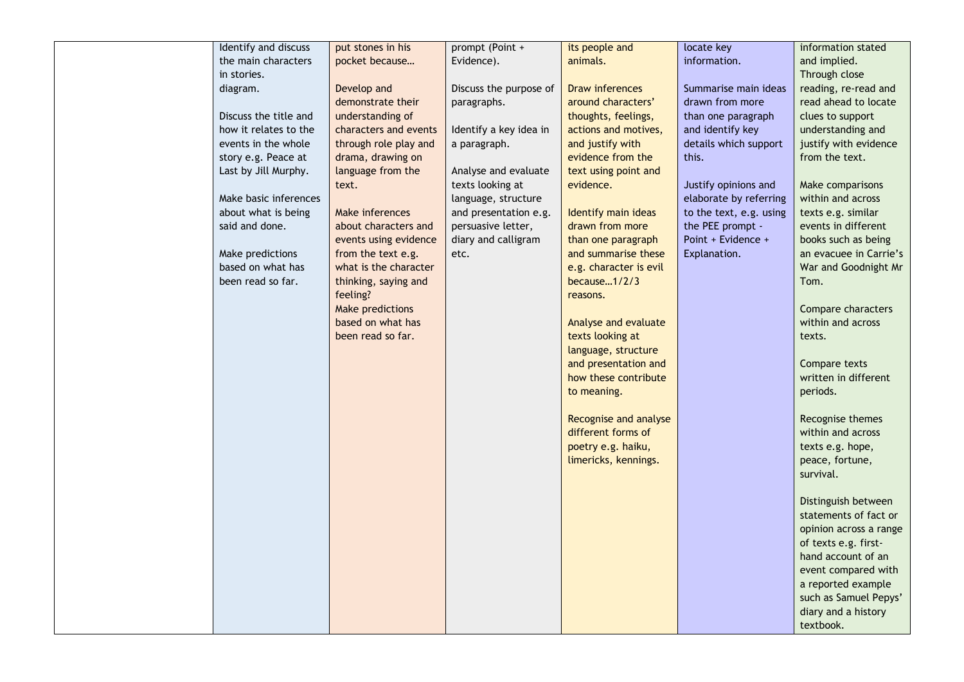| Identify and discuss  | put stones in his     | prompt (Point +        | its people and         | locate key              | information stated     |
|-----------------------|-----------------------|------------------------|------------------------|-------------------------|------------------------|
| the main characters   | pocket because        | Evidence).             | animals.               | information.            | and implied.           |
| in stories.           |                       |                        |                        |                         | Through close          |
| diagram.              | Develop and           | Discuss the purpose of | Draw inferences        | Summarise main ideas    | reading, re-read and   |
|                       | demonstrate their     | paragraphs.            | around characters'     | drawn from more         | read ahead to locate   |
| Discuss the title and | understanding of      |                        | thoughts, feelings,    | than one paragraph      | clues to support       |
| how it relates to the | characters and events | Identify a key idea in | actions and motives,   | and identify key        | understanding and      |
| events in the whole   | through role play and | a paragraph.           | and justify with       | details which support   | justify with evidence  |
| story e.g. Peace at   | drama, drawing on     |                        | evidence from the      | this.                   | from the text.         |
| Last by Jill Murphy.  | language from the     | Analyse and evaluate   | text using point and   |                         |                        |
|                       | text.                 | texts looking at       | evidence.              | Justify opinions and    | Make comparisons       |
| Make basic inferences |                       | language, structure    |                        | elaborate by referring  | within and across      |
| about what is being   | Make inferences       | and presentation e.g.  | Identify main ideas    | to the text, e.g. using | texts e.g. similar     |
| said and done.        | about characters and  | persuasive letter,     | drawn from more        | the PEE prompt -        | events in different    |
|                       | events using evidence | diary and calligram    | than one paragraph     | Point + Evidence +      | books such as being    |
| Make predictions      | from the text e.g.    | etc.                   | and summarise these    | Explanation.            | an evacuee in Carrie's |
| based on what has     | what is the character |                        | e.g. character is evil |                         | War and Goodnight Mr   |
| been read so far.     | thinking, saying and  |                        | because $1/2/3$        |                         | Tom.                   |
|                       | feeling?              |                        | reasons.               |                         |                        |
|                       | Make predictions      |                        |                        |                         | Compare characters     |
|                       | based on what has     |                        | Analyse and evaluate   |                         | within and across      |
|                       | been read so far.     |                        | texts looking at       |                         | texts.                 |
|                       |                       |                        | language, structure    |                         |                        |
|                       |                       |                        | and presentation and   |                         | Compare texts          |
|                       |                       |                        | how these contribute   |                         | written in different   |
|                       |                       |                        | to meaning.            |                         | periods.               |
|                       |                       |                        |                        |                         |                        |
|                       |                       |                        | Recognise and analyse  |                         | Recognise themes       |
|                       |                       |                        | different forms of     |                         | within and across      |
|                       |                       |                        | poetry e.g. haiku,     |                         | texts e.g. hope,       |
|                       |                       |                        | limericks, kennings.   |                         | peace, fortune,        |
|                       |                       |                        |                        |                         | survival.              |
|                       |                       |                        |                        |                         |                        |
|                       |                       |                        |                        |                         | Distinguish between    |
|                       |                       |                        |                        |                         | statements of fact or  |
|                       |                       |                        |                        |                         | opinion across a range |
|                       |                       |                        |                        |                         | of texts e.g. first-   |
|                       |                       |                        |                        |                         | hand account of an     |
|                       |                       |                        |                        |                         | event compared with    |
|                       |                       |                        |                        |                         | a reported example     |
|                       |                       |                        |                        |                         | such as Samuel Pepys'  |
|                       |                       |                        |                        |                         | diary and a history    |
|                       |                       |                        |                        |                         | textbook.              |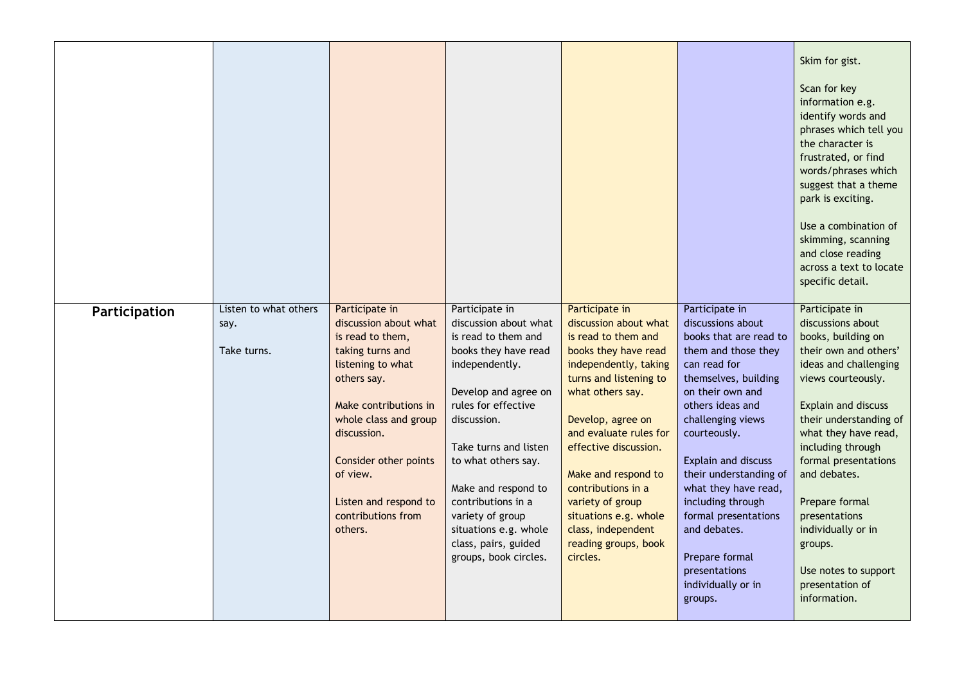|               |                                              |                                                                                                                                                                                                                                                                                     |                                                                                                                                                                                                                                                                                                                                                                   |                                                                                                                                                                                                                                                                                                                                                                                           |                                                                                                                                                                                                                                                                                                                                                                                                                     | Skim for gist.<br>Scan for key<br>information e.g.<br>identify words and<br>phrases which tell you<br>the character is<br>frustrated, or find<br>words/phrases which<br>suggest that a theme<br>park is exciting.<br>Use a combination of<br>skimming, scanning<br>and close reading<br>across a text to locate<br>specific detail.                                                                    |
|---------------|----------------------------------------------|-------------------------------------------------------------------------------------------------------------------------------------------------------------------------------------------------------------------------------------------------------------------------------------|-------------------------------------------------------------------------------------------------------------------------------------------------------------------------------------------------------------------------------------------------------------------------------------------------------------------------------------------------------------------|-------------------------------------------------------------------------------------------------------------------------------------------------------------------------------------------------------------------------------------------------------------------------------------------------------------------------------------------------------------------------------------------|---------------------------------------------------------------------------------------------------------------------------------------------------------------------------------------------------------------------------------------------------------------------------------------------------------------------------------------------------------------------------------------------------------------------|--------------------------------------------------------------------------------------------------------------------------------------------------------------------------------------------------------------------------------------------------------------------------------------------------------------------------------------------------------------------------------------------------------|
| Participation | Listen to what others<br>say.<br>Take turns. | Participate in<br>discussion about what<br>is read to them,<br>taking turns and<br>listening to what<br>others say.<br>Make contributions in<br>whole class and group<br>discussion.<br>Consider other points<br>of view.<br>Listen and respond to<br>contributions from<br>others. | Participate in<br>discussion about what<br>is read to them and<br>books they have read<br>independently.<br>Develop and agree on<br>rules for effective<br>discussion.<br>Take turns and listen<br>to what others say.<br>Make and respond to<br>contributions in a<br>variety of group<br>situations e.g. whole<br>class, pairs, guided<br>groups, book circles. | Participate in<br>discussion about what<br>is read to them and<br>books they have read<br>independently, taking<br>turns and listening to<br>what others say.<br>Develop, agree on<br>and evaluate rules for<br>effective discussion.<br>Make and respond to<br>contributions in a<br>variety of group<br>situations e.g. whole<br>class, independent<br>reading groups, book<br>circles. | Participate in<br>discussions about<br>books that are read to<br>them and those they<br>can read for<br>themselves, building<br>on their own and<br>others ideas and<br>challenging views<br>courteously.<br>Explain and discuss<br>their understanding of<br>what they have read,<br>including through<br>formal presentations<br>and debates.<br>Prepare formal<br>presentations<br>individually or in<br>groups. | Participate in<br>discussions about<br>books, building on<br>their own and others'<br>ideas and challenging<br>views courteously.<br>Explain and discuss<br>their understanding of<br>what they have read,<br>including through<br>formal presentations<br>and debates.<br>Prepare formal<br>presentations<br>individually or in<br>groups.<br>Use notes to support<br>presentation of<br>information. |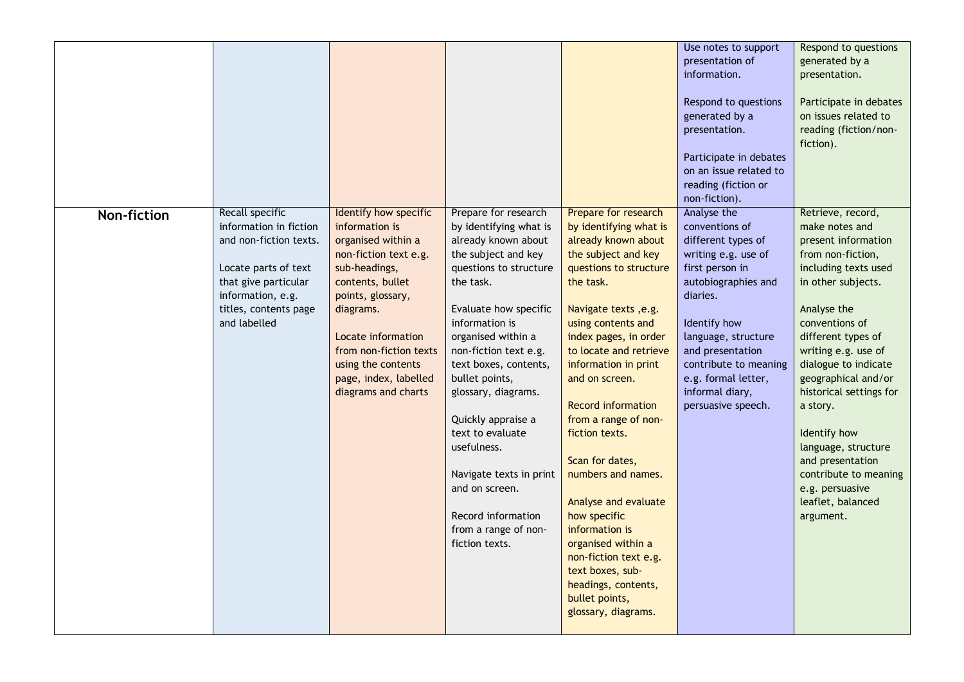|             |                                                                                                                                                                                   |                                                                                                                                                                                                                                                                                     |                                                                                                                                                                                                                                                                                                                                                                                                                                                                       |                                                                                                                                                                                                                                                                                                                                                                                                                                                                                                                                                                                             | Use notes to support<br>presentation of<br>information.<br>Respond to questions<br>generated by a<br>presentation.<br>Participate in debates<br>on an issue related to<br>reading (fiction or                                                                                                         | Respond to questions<br>generated by a<br>presentation.<br>Participate in debates<br>on issues related to<br>reading (fiction/non-<br>fiction).                                                                                                                                                                                                                                                                                            |
|-------------|-----------------------------------------------------------------------------------------------------------------------------------------------------------------------------------|-------------------------------------------------------------------------------------------------------------------------------------------------------------------------------------------------------------------------------------------------------------------------------------|-----------------------------------------------------------------------------------------------------------------------------------------------------------------------------------------------------------------------------------------------------------------------------------------------------------------------------------------------------------------------------------------------------------------------------------------------------------------------|---------------------------------------------------------------------------------------------------------------------------------------------------------------------------------------------------------------------------------------------------------------------------------------------------------------------------------------------------------------------------------------------------------------------------------------------------------------------------------------------------------------------------------------------------------------------------------------------|-------------------------------------------------------------------------------------------------------------------------------------------------------------------------------------------------------------------------------------------------------------------------------------------------------|--------------------------------------------------------------------------------------------------------------------------------------------------------------------------------------------------------------------------------------------------------------------------------------------------------------------------------------------------------------------------------------------------------------------------------------------|
| Non-fiction | Recall specific<br>information in fiction<br>and non-fiction texts.<br>Locate parts of text<br>that give particular<br>information, e.g.<br>titles, contents page<br>and labelled | Identify how specific<br>information is<br>organised within a<br>non-fiction text e.g.<br>sub-headings,<br>contents, bullet<br>points, glossary,<br>diagrams.<br>Locate information<br>from non-fiction texts<br>using the contents<br>page, index, labelled<br>diagrams and charts | Prepare for research<br>by identifying what is<br>already known about<br>the subject and key<br>questions to structure<br>the task.<br>Evaluate how specific<br>information is<br>organised within a<br>non-fiction text e.g.<br>text boxes, contents,<br>bullet points,<br>glossary, diagrams.<br>Quickly appraise a<br>text to evaluate<br>usefulness.<br>Navigate texts in print<br>and on screen.<br>Record information<br>from a range of non-<br>fiction texts. | Prepare for research<br>by identifying what is<br>already known about<br>the subject and key<br>questions to structure<br>the task.<br>Navigate texts, e.g.<br>using contents and<br>index pages, in order<br>to locate and retrieve<br>information in print<br>and on screen.<br><b>Record information</b><br>from a range of non-<br>fiction texts.<br>Scan for dates,<br>numbers and names.<br>Analyse and evaluate<br>how specific<br>information is<br>organised within a<br>non-fiction text e.g.<br>text boxes, sub-<br>headings, contents,<br>bullet points,<br>glossary, diagrams. | non-fiction).<br>Analyse the<br>conventions of<br>different types of<br>writing e.g. use of<br>first person in<br>autobiographies and<br>diaries.<br>Identify how<br>language, structure<br>and presentation<br>contribute to meaning<br>e.g. formal letter,<br>informal diary,<br>persuasive speech. | Retrieve, record,<br>make notes and<br>present information<br>from non-fiction,<br>including texts used<br>in other subjects.<br>Analyse the<br>conventions of<br>different types of<br>writing e.g. use of<br>dialogue to indicate<br>geographical and/or<br>historical settings for<br>a story.<br>Identify how<br>language, structure<br>and presentation<br>contribute to meaning<br>e.g. persuasive<br>leaflet, balanced<br>argument. |